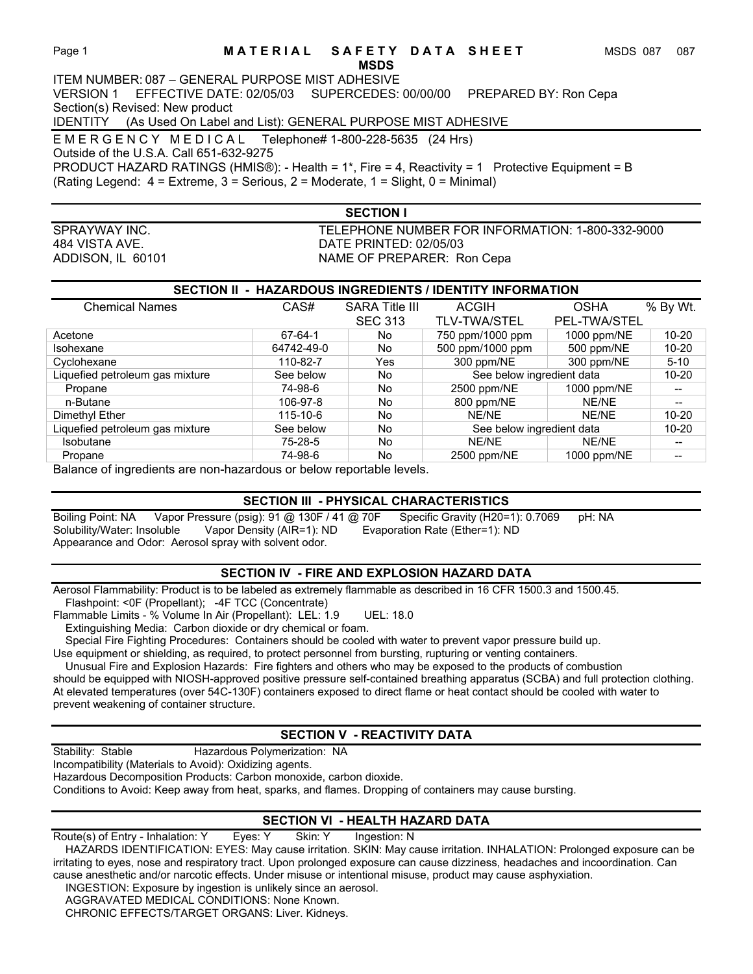## Page 1 **MATERIAL SAFETY DATA SHEET** MSDS 087 087

## **MSDS**

ITEM NUMBER: 087 – GENERAL PURPOSE MIST ADHESIVE VERSION 1 EFFECTIVE DATE: 02/05/03 SUPERCEDES: 00/00/00 PREPARED BY: Ron Cepa Section(s) Revised: New product

IDENTITY (As Used On Label and List): GENERAL PURPOSE MIST ADHESIVE

E M E R G E N C Y M E D I C A L Telephone# 1-800-228-5635 (24 Hrs)

Outside of the U.S.A. Call 651-632-9275

PRODUCT HAZARD RATINGS (HMIS®): - Health = 1\*, Fire = 4, Reactivity = 1 Protective Equipment = B (Rating Legend: 4 = Extreme, 3 = Serious, 2 = Moderate, 1 = Slight, 0 = Minimal)

**SECTION I** 

SPRAYWAY INC. TELEPHONE NUMBER FOR INFORMATION: 1-800-332-9000 484 VISTA AVE. DATE PRINTED: 02/05/03 ADDISON, IL 60101 NAME OF PREPARER: Ron Cepa

## **SECTION II - HAZARDOUS INGREDIENTS / IDENTITY INFORMATION**

| <b>Chemical Names</b>           | CAS#           | <b>SARA Title III</b> | <b>ACGIH</b>              | <b>OSHA</b>         | % By Wt.                 |
|---------------------------------|----------------|-----------------------|---------------------------|---------------------|--------------------------|
|                                 |                | <b>SEC 313</b>        | <b>TLV-TWA/STEL</b>       | <b>PEL-TWA/STEL</b> |                          |
| Acetone                         | 67-64-1        | No.                   | 750 ppm/1000 ppm          | 1000 ppm/NE         | $10 - 20$                |
| Isohexane                       | 64742-49-0     | No.                   | 500 ppm/1000 ppm          | 500 ppm/NE          | $10 - 20$                |
| Cyclohexane                     | 110-82-7       | Yes                   | 300 ppm/NE                | 300 ppm/NE          | $5 - 10$                 |
| Liquefied petroleum gas mixture | See below      | No.                   | See below ingredient data |                     | $10 - 20$                |
| Propane                         | 74-98-6        | No.                   | 2500 ppm/NE               | 1000 ppm/NE         | $-$                      |
| n-Butane                        | 106-97-8       | No                    | 800 ppm/NE                | NE/NE               | $\overline{\phantom{a}}$ |
| Dimethyl Ether                  | $115 - 10 - 6$ | No.                   | NE/NE                     | NE/NE               | $10 - 20$                |
| Liquefied petroleum gas mixture | See below      | No.                   | See below ingredient data |                     | $10 - 20$                |
| Isobutane                       | 75-28-5        | No                    | NE/NE                     | NE/NE               | --                       |
| Propane                         | 74-98-6        | No.                   | 2500 ppm/NE               | 1000 ppm/NE         | --                       |

Balance of ingredients are non-hazardous or below reportable levels.

## **SECTION III - PHYSICAL CHARACTERISTICS**

Boiling Point: NA Vapor Pressure (psig): 91 @ 130F / 41 @ 70F Specific Gravity (H20=1): 0.7069 pH: NA<br>Solubility/Water: Insoluble Vapor Density (AIR=1): ND Evaporation Rate (Ether=1): ND Solubility/Water: Insoluble Vapor Density (AIR=1): ND Evaporation Rate (Ether=1): ND Appearance and Odor: Aerosol spray with solvent odor.

## **SECTION IV - FIRE AND EXPLOSION HAZARD DATA**

Aerosol Flammability: Product is to be labeled as extremely flammable as described in 16 CFR 1500.3 and 1500.45. Flashpoint: <0F (Propellant); -4F TCC (Concentrate)

Flammable Limits - % Volume In Air (Propellant): LEL: 1.9 UEL: 18.0

Extinguishing Media: Carbon dioxide or dry chemical or foam.

Special Fire Fighting Procedures: Containers should be cooled with water to prevent vapor pressure build up.

Use equipment or shielding, as required, to protect personnel from bursting, rupturing or venting containers.

 Unusual Fire and Explosion Hazards: Fire fighters and others who may be exposed to the products of combustion should be equipped with NIOSH-approved positive pressure self-contained breathing apparatus (SCBA) and full protection clothing. At elevated temperatures (over 54C-130F) containers exposed to direct flame or heat contact should be cooled with water to prevent weakening of container structure.

# **SECTION V - REACTIVITY DATA**

Stability: Stable **Hazardous Polymerization: NA** Incompatibility (Materials to Avoid): Oxidizing agents. Hazardous Decomposition Products: Carbon monoxide, carbon dioxide. Conditions to Avoid: Keep away from heat, sparks, and flames. Dropping of containers may cause bursting.

# **SECTION VI - HEALTH HAZARD DATA**

Route(s) of Entry - Inhalation: Y Eyes: Y Skin: Y Ingestion: N HAZARDS IDENTIFICATION: EYES: May cause irritation. SKIN: May cause irritation. INHALATION: Prolonged exposure can be irritating to eyes, nose and respiratory tract. Upon prolonged exposure can cause dizziness, headaches and incoordination. Can cause anesthetic and/or narcotic effects. Under misuse or intentional misuse, product may cause asphyxiation.

 INGESTION: Exposure by ingestion is unlikely since an aerosol. AGGRAVATED MEDICAL CONDITIONS: None Known.

CHRONIC EFFECTS/TARGET ORGANS: Liver. Kidneys.